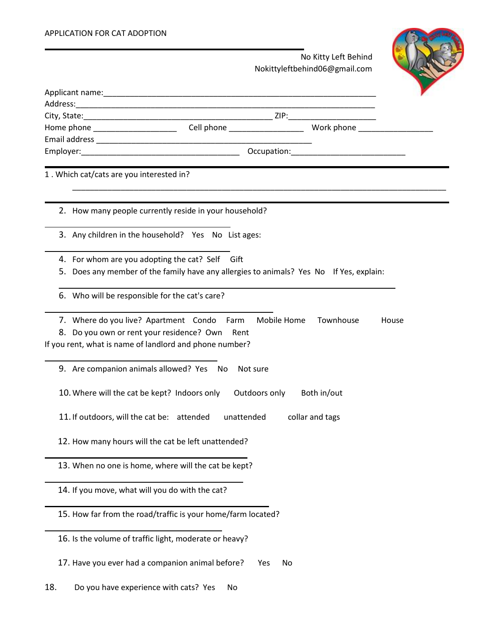## APPLICATION FOR CAT ADOPTION

. No Kitty Left Behind  $N$ okittyleftbehind $06$ @gmail

|                                            |                                                                                                                                                         | NOKIttyleftbeningub@gmail.com |       |
|--------------------------------------------|---------------------------------------------------------------------------------------------------------------------------------------------------------|-------------------------------|-------|
|                                            |                                                                                                                                                         |                               |       |
|                                            |                                                                                                                                                         |                               |       |
|                                            |                                                                                                                                                         |                               |       |
|                                            | Home phone ______________________________Cell phone _____________________________ Work phone _______                                                    |                               |       |
|                                            |                                                                                                                                                         |                               |       |
|                                            |                                                                                                                                                         |                               |       |
| 1. Which cat/cats are you interested in?   |                                                                                                                                                         |                               |       |
|                                            | 2. How many people currently reside in your household?                                                                                                  |                               |       |
|                                            | 3. Any children in the household? Yes No List ages:                                                                                                     |                               |       |
|                                            | 4. For whom are you adopting the cat? Self Gift                                                                                                         |                               |       |
|                                            | 5. Does any member of the family have any allergies to animals? Yes No If Yes, explain:                                                                 |                               |       |
|                                            | 6. Who will be responsible for the cat's care?                                                                                                          |                               |       |
|                                            | 7. Where do you live? Apartment Condo Farm<br>8. Do you own or rent your residence? Own Rent<br>If you rent, what is name of landlord and phone number? | Mobile Home<br>Townhouse      | House |
|                                            | 9. Are companion animals allowed? Yes No<br>Not sure                                                                                                    |                               |       |
|                                            | 10. Where will the cat be kept? Indoors only                                                                                                            | Outdoors only Both in/out     |       |
| 11. If outdoors, will the cat be: attended | unattended                                                                                                                                              | collar and tags               |       |
|                                            | 12. How many hours will the cat be left unattended?                                                                                                     |                               |       |
|                                            | 13. When no one is home, where will the cat be kept?                                                                                                    |                               |       |
|                                            | 14. If you move, what will you do with the cat?                                                                                                         |                               |       |
|                                            | 15. How far from the road/traffic is your home/farm located?                                                                                            |                               |       |
|                                            | 16. Is the volume of traffic light, moderate or heavy?                                                                                                  |                               |       |
|                                            | 17. Have you ever had a companion animal before?                                                                                                        | No<br>Yes                     |       |
| 18.                                        | Do you have experience with cats? Yes<br>No                                                                                                             |                               |       |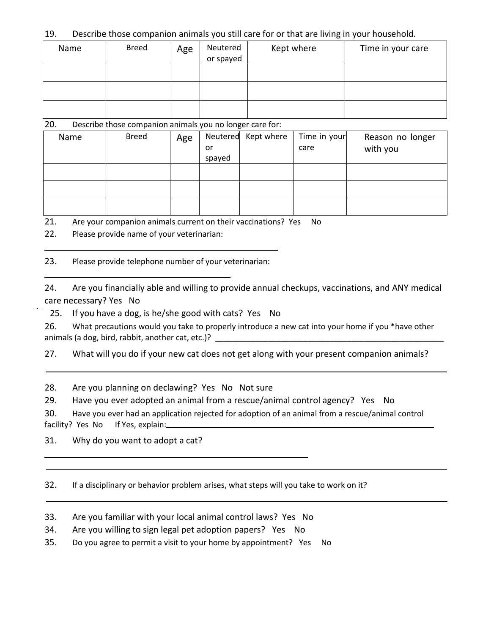19. Describe those companion animals you still care for or that are living in your household.

| Name | <b>Breed</b> | Age | Neutered<br>or spayed | Kept where | Time in your care |
|------|--------------|-----|-----------------------|------------|-------------------|
|      |              |     |                       |            |                   |
|      |              |     |                       |            |                   |
|      |              |     |                       |            |                   |

20. Describe those companion animals you no longer care for:

| Name | <b>Breed</b> | Age |        | Neutered Kept where | Time in your | Reason no longer |
|------|--------------|-----|--------|---------------------|--------------|------------------|
|      |              |     | or     |                     | care         | with you         |
|      |              |     | spayed |                     |              |                  |
|      |              |     |        |                     |              |                  |
|      |              |     |        |                     |              |                  |
|      |              |     |        |                     |              |                  |
|      |              |     |        |                     |              |                  |
|      |              |     |        |                     |              |                  |
|      |              |     |        |                     |              |                  |

21. Are your companion animals current on their vaccinations? Yes No

22. Please provide name of your veterinarian:

23. Please provide telephone number of your veterinarian:

24. Are you financially able and willing to provide annual checkups, vaccinations, and ANY medical care necessary? Yes No

25. If you have a dog, is he/she good with cats? Yes No

26. What precautions would you take to properly introduce a new cat into your home if you \*have other animals (a dog, bird, rabbit, another cat, etc.)? \_\_\_\_\_\_\_\_\_\_\_\_\_\_\_\_\_\_\_\_\_\_\_\_\_\_\_\_\_\_

27. What will you do if your new cat does not get along with your present companion animals?

28. Are you planning on declawing? Yes No Not sure

29. Have you ever adopted an animal from a rescue/animal control agency? Yes No

30. Have you ever had an application rejected for adoption of an animal from a rescue/animal control facility? Yes No If Yes, explain:

31. Why do you want to adopt a cat?

32. If a disciplinary or behavior problem arises, what steps will you take to work on it?

33. Are you familiar with your local animal control laws? Yes No

- 34. Are you willing to sign legal pet adoption papers? Yes No
- 35. Do you agree to permit a visit to your home by appointment? Yes No